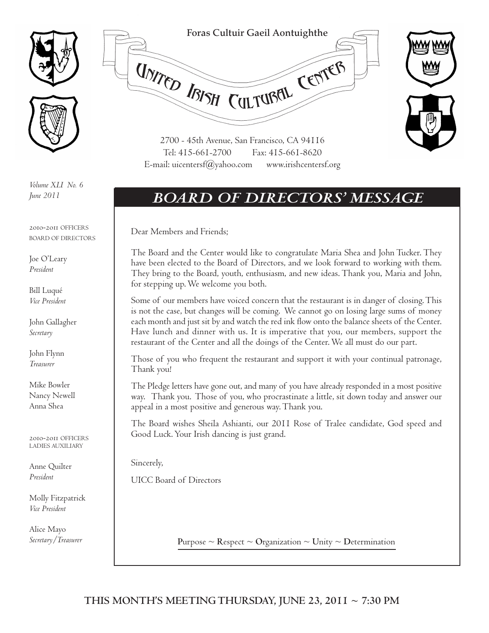



*Volume XLI No. 6 June 2011*

2010-2011 OFFICERS BOARD OF DIRECTORS

Joe O'Leary *President*

Bill Luqué *Vice President*

John Gallagher *Secretary*

John Flynn *Treasurer*

Mike Bowler Nancy Newell Anna Shea

2010-2011 OFFICERS LADIES AUXILIARY

Anne Quilter *President*

Molly Fitzpatrick *Vice President*

Alice Mayo



### *BOARD OF DIRECTORS' MESSAGE*

Dear Members and Friends;

The Board and the Center would like to congratulate Maria Shea and John Tucker. They have been elected to the Board of Directors, and we look forward to working with them. They bring to the Board, youth, enthusiasm, and new ideas. Thank you, Maria and John, for stepping up. We welcome you both.

Some of our members have voiced concern that the restaurant is in danger of closing. This is not the case, but changes will be coming. We cannot go on losing large sums of money each month and just sit by and watch the red ink flow onto the balance sheets of the Center. Have lunch and dinner with us. It is imperative that you, our members, support the restaurant of the Center and all the doings of the Center. We all must do our part.

Those of you who frequent the restaurant and support it with your continual patronage, Thank you!

The Pledge letters have gone out, and many of you have already responded in a most positive way. Thank you. Those of you, who procrastinate a little, sit down today and answer our appeal in a most positive and generous way. Thank you.

The Board wishes Sheila Ashianti, our 2011 Rose of Tralee candidate, God speed and Good Luck. Your Irish dancing is just grand.

Sincerely,

UICC Board of Directors

*Secretary*/*Treasurer* **Purpose**  $\sim$  **R**espect  $\sim$  **O**rganization  $\sim$  **U**nity  $\sim$  Determination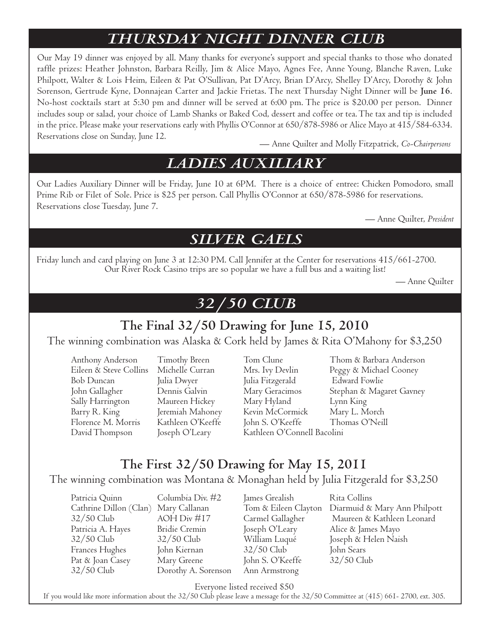### *THURSDAY NIGHT DINNER CLUB*

Our May 19 dinner was enjoyed by all. Many thanks for everyone's support and special thanks to those who donated raffle prizes: Heather Johnston, Barbara Reilly, Jim & Alice Mayo, Agnes Fee, Anne Young, Blanche Raven, Luke Philpott, Walter & Lois Heim, Eileen & Pat O'Sullivan, Pat D'Arcy, Brian D'Arcy, Shelley D'Arcy, Dorothy & John Sorenson, Gertrude Kyne, Donnajean Carter and Jackie Frietas. The next Thursday Night Dinner will be **June 16**. No-host cocktails start at 5:30 pm and dinner will be served at 6:00 pm. The price is \$20.00 per person. Dinner includes soup or salad, your choice of Lamb Shanks or Baked Cod, dessert and coffee or tea. The tax and tip is included in the price. Please make your reservations early with Phyllis O'Connor at 650/878-5986 or Alice Mayo at 415/584-6334. Reservations close on Sunday, June 12.

— Anne Quilter and Molly Fitzpatrick, *Co-Chairpersons*

### *LADIES AUXILIARY*

Our Ladies Auxiliary Dinner will be Friday, June 10 at 6PM. There is a choice of entree: Chicken Pomodoro, small Prime Rib or Filet of Sole. Price is \$25 per person. Call Phyllis O'Connor at 650/878-5986 for reservations. Reservations close Tuesday, June 7.

— Anne Quilter, *President*

### *SILVER GAELS*

Friday lunch and card playing on June 3 at 12:30 PM. Call Jennifer at the Center for reservations 415/661-2700. Our River Rock Casino trips are so popular we have a full bus and a waiting list!

— Anne Quilter

### *32/50 CLUB*

### **The Final 32/50 Drawing for June 15, 2010**

The winning combination was Alaska & Cork held by James & Rita O'Mahony for \$3,250

Eileen & Steve Collins Michelle Curran Mrs. Ivy Devlin Peggy & Michael Cooney Bob Duncan Julia Dwyer Julia Fitzgerald Edward Fowlie Sally Harrington Maureen Hickey Mary Hyland Lynn King Barry R. King Jeremiah Mahoney Kevin McCormick Mary L. Morch Florence M. Morris Kathleen O'Keeffe John S. O'Keeffe Thomas O'Neill David Thompson Joseph O'Leary Kathleen O'Connell Bacolini

Anthony Anderson Timothy Breen Tom Clune Thom & Barbara Anderson John Gallagher Dennis Galvin Mary Geracimos Stephan & Magaret Gavney

### **The First 32/50 Drawing for May 15, 2011**

The winning combination was Montana & Monaghan held by Julia Fitzgerald for \$3,250

Patricia Quinn Columbia Div. #2 James Grealish Rita Collins Patricia A. Hayes Bridie Cremin Joseph O'Leary Alice & James Mayo Frances Hughes John Kiernan 32/50 Club John Sears Pat & Joan Casey Mary Greene John S. O'Keeffe 32/50 Club 32/50 Club Dorothy A. Sorenson Ann Armstrong

Cathrine Dillon (Clan) Mary Callanan Tom & Eileen Clayton Diarmuid & Mary Ann Philpott 32/50 Club AOH Div #17 Carmel Gallagher Maureen & Kathleen Leonard 32/50 Club 32/50 Club William Luqué Joseph & Helen Naish

Everyone listed received \$50

If you would like more information about the 32/50 Club please leave a message for the 32/50 Committee at (415) 661- 2700, ext. 305.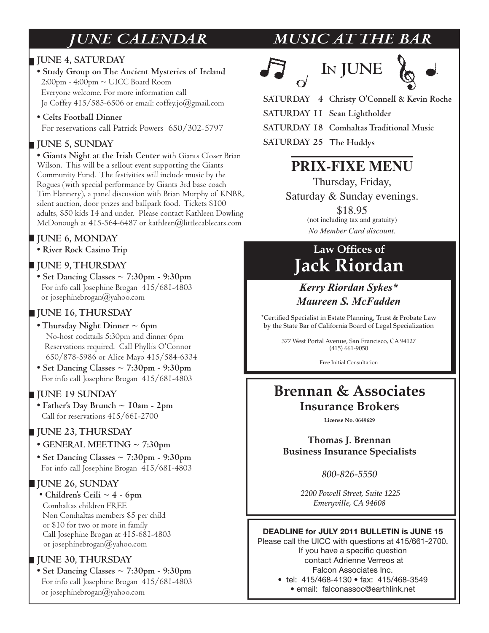#### **JUNE 4, SATURDAY**

- **Study Group on The Ancient Mysteries of Ireland** 2:00pm - 4:00pm ~ UICC Board Room Everyone welcome. For more information call Jo Coffey  $415/585-6506$  or email: coffey.jo $(\partial)$ gmail.com
- **Celts Football Dinner**  For reservations call Patrick Powers 650/302-5797

#### **JUNE 5, SUNDAY**

**• Giants Night at the Irish Center** with Giants Closer Brian Wilson. This will be a sellout event supporting the Giants Community Fund. The festivities will include music by the Rogues (with special performance by Giants 3rd base coach Tim Flannery), a panel discussion with Brian Murphy of KNBR, silent auction, door prizes and ballpark food. Tickets \$100 adults, \$50 kids 14 and under. Please contact Kathleen Dowling McDonough at 415-564-6487 or kathleen@littlecablecars.com

#### **JUNE 6, MONDAY**

**• River Rock Casino Trip**

#### **JUNE 9, THURSDAY**

**• Set Dancing Classes ~ 7:30pm - 9:30pm** For info call Josephine Brogan 415/681-4803 or josephinebrogan@yahoo.com

#### **JUNE 16, THURSDAY**

- **Thursday Night Dinner ~ 6pm** No-host cocktails 5:30pm and dinner 6pm Reservations required. Call Phyllis O'Connor 650/878-5986 or Alice Mayo 415/584-6334
- **Set Dancing Classes ~ 7:30pm 9:30pm** For info call Josephine Brogan 415/681-4803

#### **JUNE 19 SUNDAY**

**• Father's Day Brunch ~ 10am - 2pm**  Call for reservations 415/661-2700

#### **JUNE 23, THURSDAY**

- **GENERAL MEETING ~ 7:30pm**
- **Set Dancing Classes ~ 7:30pm 9:30pm** For info call Josephine Brogan 415/681-4803

#### **JUNE 26, SUNDAY**

 • **Children's Ceili ~ 4 - 6pm**  Comhaltas children FREE Non Comhaltas members \$5 per child or \$10 for two or more in family Call Josephine Brogan at 415-681-4803 or josephinebrogan@yahoo.com

#### **JUNE 30, THURSDAY**

**• Set Dancing Classes ~ 7:30pm - 9:30pm** For info call Josephine Brogan 415/681-4803 or josephinebrogan@yahoo.com

### *JUNE CALENDAR MUSIC AT THE BAR*







**Christy O'Connell & Kevin Roche SATURDAY 4 SATURDAY 11 Sean Lightholder Comhaltas Traditional Music SATURDAY 18** SATURDAY 25 The Huddys

### **PRIX-FIXE MENU**

Thursday, Friday,

Saturday & Sunday evenings.

\$18.95 (not including tax and gratuity) *No Member Card discount.* 

### Law Offices of **Jack Riordan**

#### Kerry Riordan Sykes\* *Maureen S. McFadden*

\*Certified Specialist in Estate Planning, Trust & Probate Law by the State Bar of California Board of Legal Specialization

> 377 West Portal Avenue, San Francisco, CA 94127  $(415) 661 - 9050$

> > Free Initial Consultation

### **Brennan & Associates Insurance Brokers**

License No. 0649629

**Thomas J. Brennan Business Insurance Specialists** 

*800-826-5550*

 *2200 Powell Street, Suite 1225 Emeryville, CA 94608*

#### **DEADLINE for JULY 2011 BULLETIN is JUNE 15**

Please call the UICC with questions at 415/661-2700. If you have a specific question contact Adrienne Verreos at Falcon Associates Inc. • tel: 415/468-4130 • fax: 415/468-3549

· email: falconassoc@earthlink.net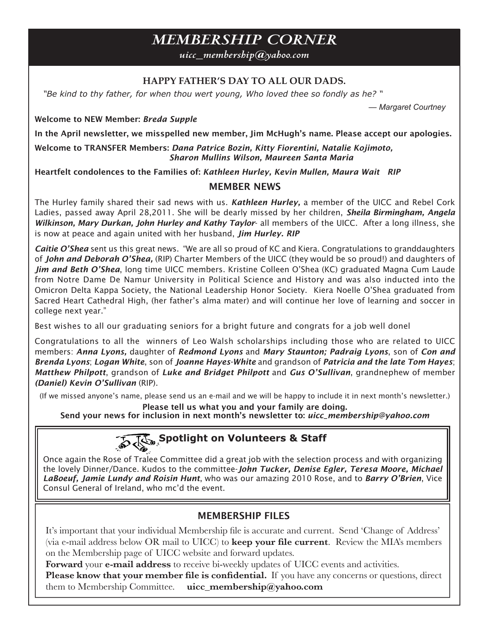### **MEMBERSHIP CORNER**

 $nic \_\$ membership@yahoo.com

#### HAPPY FATHER'S DAY TO ALL OUR DADS.

"Be kind to thy father, for when thou wert young, Who loved thee so fondly as he?"

— Margaret Courtney

**Welcome to NEW Member: Breda Supple** 

In the April newsletter, we misspelled new member, Jim McHugh's name. Please accept our apologies.

Welcome to TRANSFER Members: Dana Patrice Bozin, Kitty Fiorentini, Natalie Kojimoto, Sharon Mullins Wilson, Maureen Santa Maria

Heartfelt condolences to the Families of: Kathleen Hurley, Kevin Mullen, Maura Wait RIP

#### **MEMBER NEWS**

The Hurley family shared their sad news with us. Kathleen Hurley, a member of the UICC and Rebel Cork Ladies, passed away April 28,2011. She will be dearly missed by her children, Sheila Birmingham, Angela Wilkinson, Mary Durkan, John Hurley and Kathy Taylor- all members of the UICC. After a long illness, she is now at peace and again united with her husband, Jim Hurley. RIP

**Caitie O'Shea** sent us this great news. "We are all so proud of KC and Kiera. Congratulations to granddaughters of John and Deborah O'Shea, (RIP) Charter Members of the UICC (they would be so proud!) and daughters of Jim and Beth O'Shea, long time UICC members. Kristine Colleen O'Shea (KC) graduated Magna Cum Laude from Notre Dame De Namur University in Political Science and History and was also inducted into the Omicron Delta Kappa Society, the National Leadership Honor Society. Kiera Noelle O'Shea graduated from Sacred Heart Cathedral High, (her father's alma mater) and will continue her love of learning and soccer in college next year."

Best wishes to all our graduating seniors for a bright future and congrats for a job well donel

Congratulations to all the winners of Leo Walsh scholarships including those who are related to UICC members: Anna Lyons, daughter of Redmond Lyons and Mary Staunton; Padraig Lyons, son of Con and Brenda Lyons; Logan White, son of Joanne Hayes-White and grandson of Patricia and the late Tom Hayes; Matthew Philpott, grandson of Luke and Bridget Philpott and Gus O'Sullivan, grandnephew of member (Daniel) Kevin O'Sullivan (RIP).

(If we missed anyone's name, please send us an e-mail and we will be happy to include it in next month's newsletter.)

Please tell us what you and your family are doing.

Send your news for inclusion in next month's newsletter to: uicc\_membership@yahoo.com



Once again the Rose of Tralee Committee did a great job with the selection process and with organizing the lovely Dinner/Dance. Kudos to the committee-John Tucker, Denise Egler, Teresa Moore, Michael LaBoeuf, Jamie Lundy and Roisin Hunt, who was our amazing 2010 Rose, and to Barry O'Brien, Vice Consul General of Ireland, who mc'd the event.

#### **MEMBERSHIP FILES**

It's important that your individual Membership file is accurate and current. Send 'Change of Address' (via e-mail address below OR mail to UICC) to keep your file current. Review the MIA's members on the Membership page of UICC website and forward updates.

Forward your e-mail address to receive bi-weekly updates of UICC events and activities.

Please know that your member file is confidential. If you have any concerns or questions, direct them to Membership Committee. uicc\_membership@yahoo.com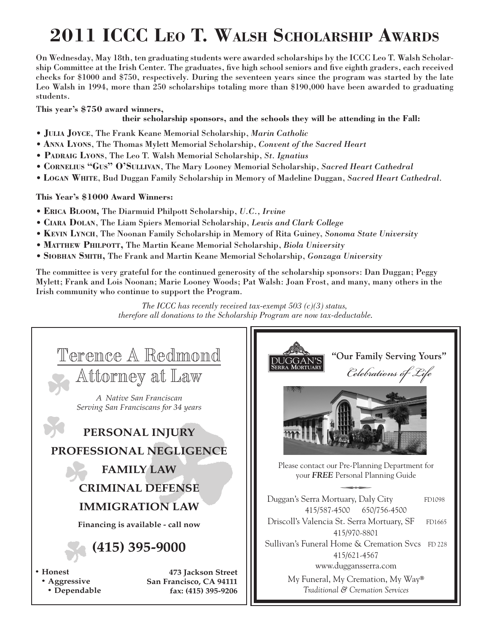## **2011 ICCC LEO T. WALSH SCHOLARSHIP AWARDS**

On Wednesday, May 18th, ten graduating students were awarded scholarships by the ICCC Leo T. Walsh Scholarship Committee at the Irish Center. The graduates, five high school seniors and five eighth graders, each received checks for \$1000 and \$750, respectively. During the seventeen years since the program was started by the late Leo Walsh in 1994, more than 250 scholarships totaling more than \$190,000 have been awarded to graduating students.

T**his year's \$750 award winners,** 

#### **their scholarship sponsors, and the schools they will be attending in the Fall:**

- **JULIA JOYCE**, The Frank Keane Memorial Scholarship, *Marin Catholic*
- **ANNA LYONS**, The Thomas Mylett Memorial Scholarship, *Convent of the Sacred Heart*
- **PADRAIG LYONS**, The Leo T. Walsh Memorial Scholarship, *St. Ignatius*
- **CORNELIUS "GUS" O'SULLIVAN**, The Mary Looney Memorial Scholarship, *Sacred Heart Cathedral*
- **LOGAN WHITE**, Bud Duggan Family Scholarship in Memory of Madeline Duggan, *Sacred Heart Cathedral*.

#### **This Year's \$1000 Award Winners:**

- **ERICA BLOOM,** The Diarmuid Philpott Scholarship, *U.C., Irvine*
- **CIARA DOLAN**, The Liam Spiers Memorial Scholarship, *Lewis and Clark College*
- **KEVIN LYNCH**, The Noonan Family Scholarship in Memory of Rita Guiney, *Sonoma State University*
- **MATTHEW PHILPOTT,** The Martin Keane Memorial Scholarship, *Biola University*
- **SIOBHAN SMITH,** The Frank and Martin Keane Memorial Scholarship, *Gonzaga University*

The committee is very grateful for the continued generosity of the scholarship sponsors: Dan Duggan; Peggy Mylett; Frank and Lois Noonan; Marie Looney Woods; Pat Walsh: Joan Frost, and many, many others in the Irish community who continue to support the Program.

> *The ICCC has recently received tax-exempt 503 (c)(3) status, therefore all donations to the Scholarship Program are now tax-deductable.*

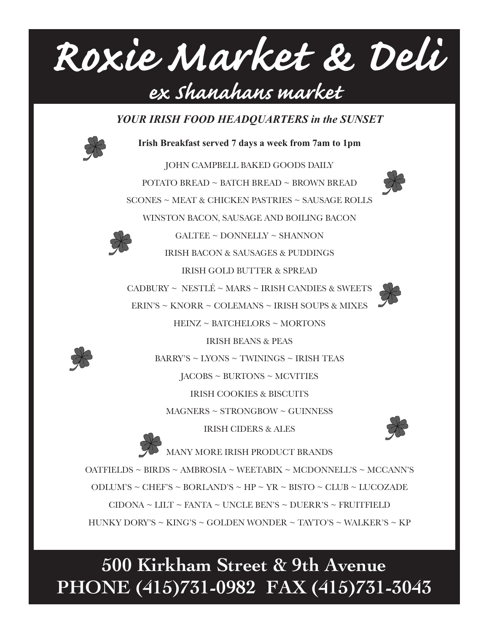# Roxie Market & Deli ex shanahans market

YOUR IRISH FOOD HEADQUARTERS in the SUNSET



Irish Breakfast served 7 days a week from 7am to 1pm

JOHN CAMPBELL BAKED GOODS DAILY POTATO BREAD ~ BATCH BREAD ~ BROWN BREAD SCONES ~ MEAT & CHICKEN PASTRIES ~ SAUSAGE ROLLS WINSTON BACON, SAUSAGE AND BOILING BACON  $GALTEE \sim$  DONNELLY  $\sim$  SHANNON



**IRISH BACON & SAUSAGES & PUDDINGS** 

**IRISH GOLD BUTTER & SPREAD** 

CADBURY ~ NESTLÉ ~ MARS ~ IRISH CANDIES & SWEETS

ERIN'S ~ KNORR ~ COLEMANS ~ IRISH SOUPS & MIXES

HEINZ ~ BATCHELORS ~ MORTONS



 $BARRY'S \sim LYONS \sim TWININGS \sim IRISH TEAS$ 

**IRISH BEANS & PEAS** 

 $JACOBS \sim BURTONS \sim MCVITIES$ 

**IRISH COOKIES & BISCUITS** 

 $MAGNERS \sim STRONGBOW \sim GUINNESS$ 

**IRISH CIDERS & ALES** 



MANY MORE IRISH PRODUCT BRANDS OATFIELDS ~ BIRDS ~ AMBROSIA ~ WEETABIX ~ MCDONNELL'S ~ MCCANN'S ODLUM'S ~ CHEF'S ~ BORLAND'S ~ HP ~ YR ~ BISTO ~ CLUB ~ LUCOZADE  $CIDONA \sim LILT \sim FANTA \sim UNCLE BEN'S \sim DUERR'S \sim FRUITFIELD$ HUNKY DORY'S ~ KING'S ~ GOLDEN WONDER ~ TAYTO'S ~ WALKER'S ~ KP

### 500 Kirkham Street & 9th Avenue PHONE (415)731-0982 FAX (415)731-3043

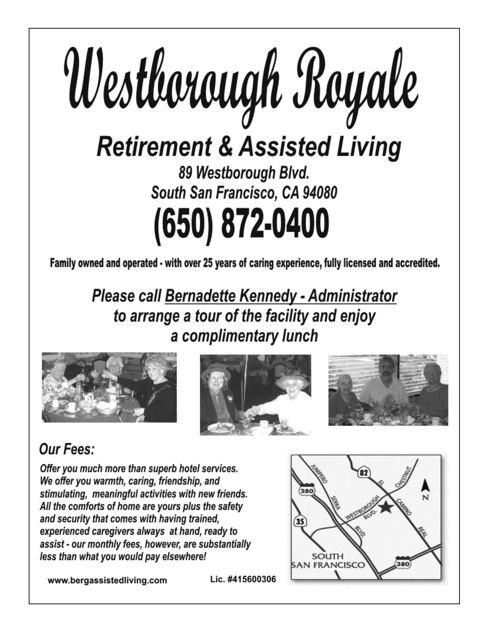

Family owned and operated - with over 25 years of caring experience, fully licensed and accredited.

**Please call Bernadette Kennedy - Administrator** to arrange a tour of the facility and enjoy a complimentary lunch







### **Our Fees:**

Offer you much more than superb hotel services. We offer you warmth, caring, friendship, and stimulating, meaningful activities with new friends. All the comforts of home are yours plus the safety and security that comes with having trained, experienced caregivers always at hand, ready to assist - our monthly fees, however, are substantially less than what you would pay elsewhere!

www.bergassistedliving.com



Lic. #415600306